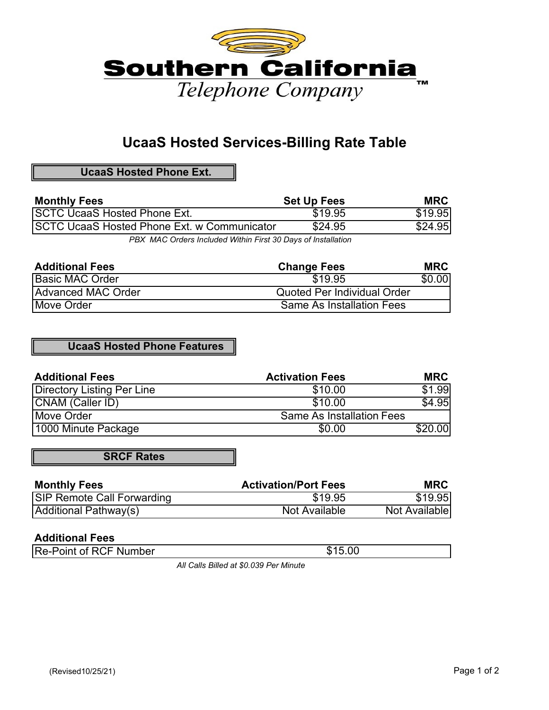

# **UcaaS Hosted Services-Billing Rate Table**

**UcaaS Hosted Phone Ext.**

| <b>Monthly Fees</b>                         | <b>Set Up Fees</b> | MRC     |
|---------------------------------------------|--------------------|---------|
| <b>ISCTC UcaaS Hosted Phone Ext.</b>        | \$19.95            | \$19.95 |
| SCTC UcaaS Hosted Phone Ext. w Communicator | \$24.95            | \$24.95 |
|                                             |                    |         |

*PBX MAC Orders Included Within First 30 Days of Installation*

| <b>Additional Fees</b> | <b>Change Fees</b>                 | <b>MRC</b> |
|------------------------|------------------------------------|------------|
| Basic MAC Order        | \$19.95                            | \$0.00     |
| Advanced MAC Order     | <b>Quoted Per Individual Order</b> |            |
| Move Order             | <b>Same As Installation Fees</b>   |            |

## **UcaaS Hosted Phone Features**

| <b>Additional Fees</b>     | <b>Activation Fees</b>           | <b>MRC</b> |
|----------------------------|----------------------------------|------------|
| Directory Listing Per Line | \$10.00                          | \$1.99     |
| CNAM (Caller ID)           | \$10.00                          | \$4.95     |
| Move Order                 | <b>Same As Installation Fees</b> |            |
| 1000 Minute Package        | \$0.00                           | \$20.00    |

**SRCF Rates**

| <b>Monthly Fees</b>               | <b>Activation/Port Fees</b> | <b>MRC</b>    |
|-----------------------------------|-----------------------------|---------------|
| <b>SIP Remote Call Forwarding</b> | \$19.95                     | \$19.95       |
| Additional Pathway(s)             | Not Available               | Not Available |

### **Additional Fees**

| <b>Re-Point of RCF Number</b> | \$15.00 |
|-------------------------------|---------|
|                               |         |

*All Calls Billed at \$0.039 Per Minute*